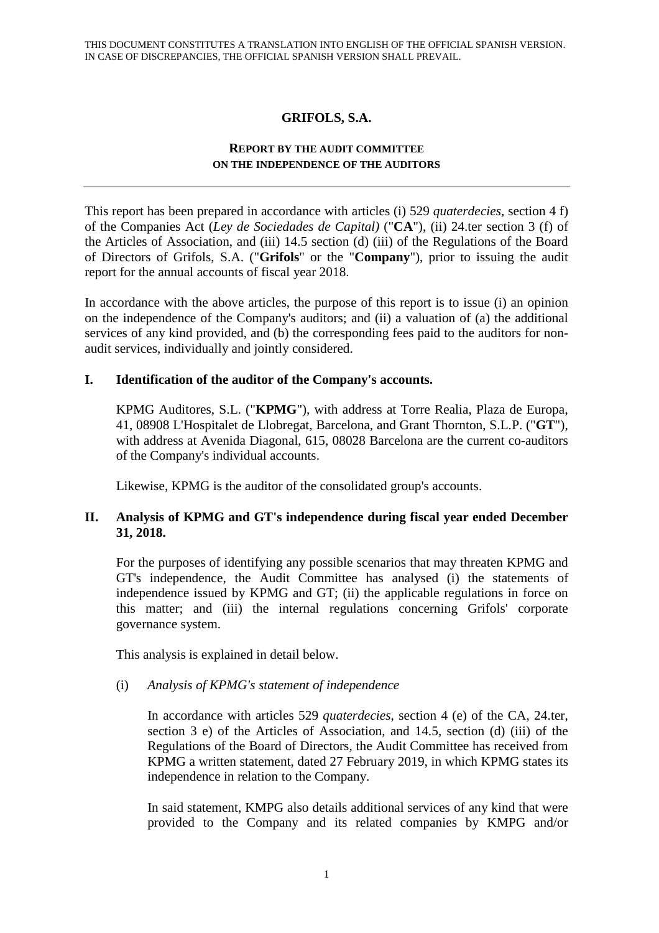# **GRIFOLS, S.A.**

#### **REPORT BY THE AUDIT COMMITTEE ON THE INDEPENDENCE OF THE AUDITORS**

This report has been prepared in accordance with articles (i) 529 *quaterdecies*, section 4 f) of the Companies Act (*Ley de Sociedades de Capital)* ("**CA**"), (ii) 24.ter section 3 (f) of the Articles of Association, and (iii) 14.5 section (d) (iii) of the Regulations of the Board of Directors of Grifols, S.A. ("**Grifols**" or the "**Company**"), prior to issuing the audit report for the annual accounts of fiscal year 2018.

In accordance with the above articles, the purpose of this report is to issue (i) an opinion on the independence of the Company's auditors; and (ii) a valuation of (a) the additional services of any kind provided, and (b) the corresponding fees paid to the auditors for nonaudit services, individually and jointly considered.

## **I. Identification of the auditor of the Company's accounts.**

KPMG Auditores, S.L. ("**KPMG**"), with address at Torre Realia, Plaza de Europa, 41, 08908 L'Hospitalet de Llobregat, Barcelona, and Grant Thornton, S.L.P. ("**GT**"), with address at Avenida Diagonal, 615, 08028 Barcelona are the current co-auditors of the Company's individual accounts.

Likewise, KPMG is the auditor of the consolidated group's accounts.

## **II. Analysis of KPMG and GT's independence during fiscal year ended December 31, 2018.**

For the purposes of identifying any possible scenarios that may threaten KPMG and GT's independence, the Audit Committee has analysed (i) the statements of independence issued by KPMG and GT; (ii) the applicable regulations in force on this matter; and (iii) the internal regulations concerning Grifols' corporate governance system.

This analysis is explained in detail below.

#### (i) *Analysis of KPMG's statement of independence*

In accordance with articles 529 *quaterdecies*, section 4 (e) of the CA, 24.ter, section 3 e) of the Articles of Association, and 14.5, section (d) (iii) of the Regulations of the Board of Directors, the Audit Committee has received from KPMG a written statement, dated 27 February 2019, in which KPMG states its independence in relation to the Company.

In said statement, KMPG also details additional services of any kind that were provided to the Company and its related companies by KMPG and/or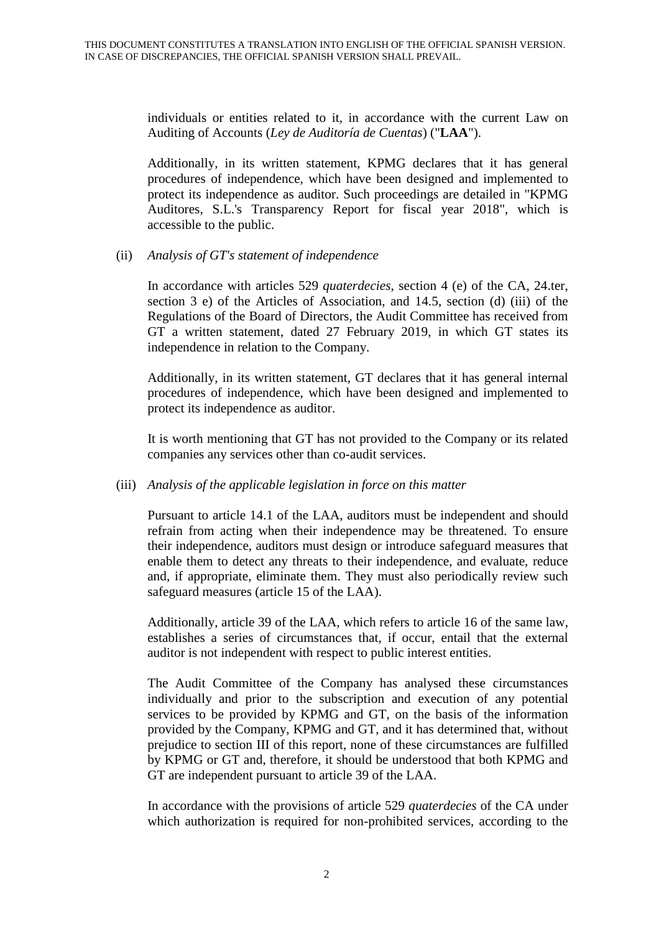individuals or entities related to it, in accordance with the current Law on Auditing of Accounts (*Ley de Auditoría de Cuentas*) ("**LAA**").

Additionally, in its written statement, KPMG declares that it has general procedures of independence, which have been designed and implemented to protect its independence as auditor. Such proceedings are detailed in "KPMG Auditores, S.L.'s Transparency Report for fiscal year 2018", which is accessible to the public.

#### (ii) *Analysis of GT's statement of independence*

In accordance with articles 529 *quaterdecies*, section 4 (e) of the CA, 24.ter, section 3 e) of the Articles of Association, and 14.5, section (d) (iii) of the Regulations of the Board of Directors, the Audit Committee has received from GT a written statement, dated 27 February 2019, in which GT states its independence in relation to the Company.

Additionally, in its written statement, GT declares that it has general internal procedures of independence, which have been designed and implemented to protect its independence as auditor.

It is worth mentioning that GT has not provided to the Company or its related companies any services other than co-audit services.

#### (iii) *Analysis of the applicable legislation in force on this matter*

Pursuant to article 14.1 of the LAA, auditors must be independent and should refrain from acting when their independence may be threatened. To ensure their independence, auditors must design or introduce safeguard measures that enable them to detect any threats to their independence, and evaluate, reduce and, if appropriate, eliminate them. They must also periodically review such safeguard measures (article 15 of the LAA).

Additionally, article 39 of the LAA, which refers to article 16 of the same law, establishes a series of circumstances that, if occur, entail that the external auditor is not independent with respect to public interest entities.

The Audit Committee of the Company has analysed these circumstances individually and prior to the subscription and execution of any potential services to be provided by KPMG and GT, on the basis of the information provided by the Company, KPMG and GT, and it has determined that, without prejudice to section III of this report, none of these circumstances are fulfilled by KPMG or GT and, therefore, it should be understood that both KPMG and GT are independent pursuant to article 39 of the LAA.

In accordance with the provisions of article 529 *quaterdecies* of the CA under which authorization is required for non-prohibited services, according to the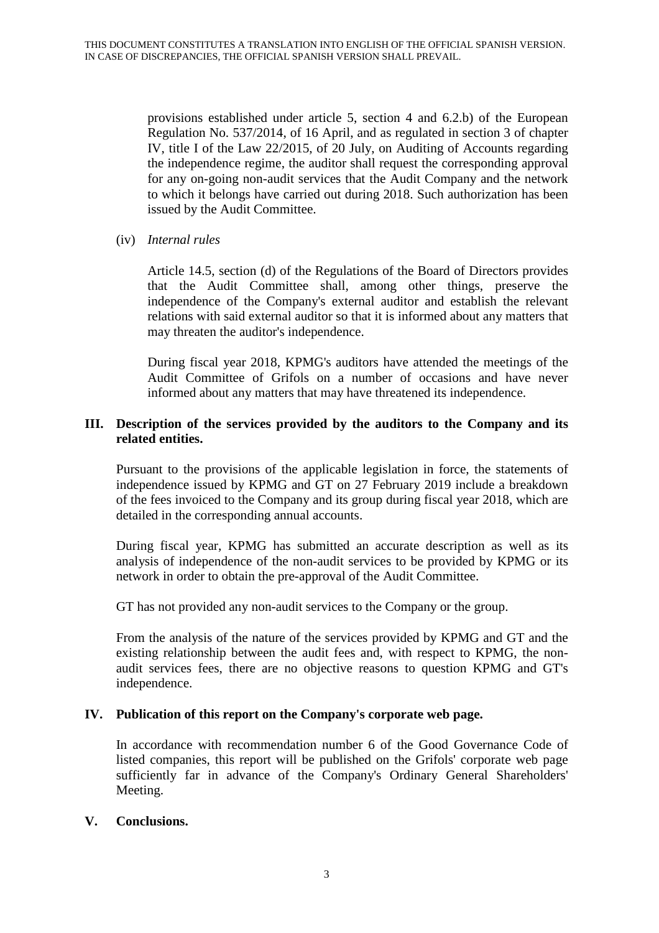provisions established under article 5, section 4 and 6.2.b) of the European Regulation No. 537/2014, of 16 April, and as regulated in section 3 of chapter IV, title I of the Law 22/2015, of 20 July, on Auditing of Accounts regarding the independence regime, the auditor shall request the corresponding approval for any on-going non-audit services that the Audit Company and the network to which it belongs have carried out during 2018. Such authorization has been issued by the Audit Committee.

(iv) *Internal rules* 

Article 14.5, section (d) of the Regulations of the Board of Directors provides that the Audit Committee shall, among other things, preserve the independence of the Company's external auditor and establish the relevant relations with said external auditor so that it is informed about any matters that may threaten the auditor's independence.

During fiscal year 2018, KPMG's auditors have attended the meetings of the Audit Committee of Grifols on a number of occasions and have never informed about any matters that may have threatened its independence.

## **III. Description of the services provided by the auditors to the Company and its related entities.**

Pursuant to the provisions of the applicable legislation in force, the statements of independence issued by KPMG and GT on 27 February 2019 include a breakdown of the fees invoiced to the Company and its group during fiscal year 2018, which are detailed in the corresponding annual accounts.

During fiscal year, KPMG has submitted an accurate description as well as its analysis of independence of the non-audit services to be provided by KPMG or its network in order to obtain the pre-approval of the Audit Committee.

GT has not provided any non-audit services to the Company or the group.

From the analysis of the nature of the services provided by KPMG and GT and the existing relationship between the audit fees and, with respect to KPMG, the nonaudit services fees, there are no objective reasons to question KPMG and GT's independence.

# **IV. Publication of this report on the Company's corporate web page.**

In accordance with recommendation number 6 of the Good Governance Code of listed companies, this report will be published on the Grifols' corporate web page sufficiently far in advance of the Company's Ordinary General Shareholders' Meeting.

#### **V. Conclusions.**